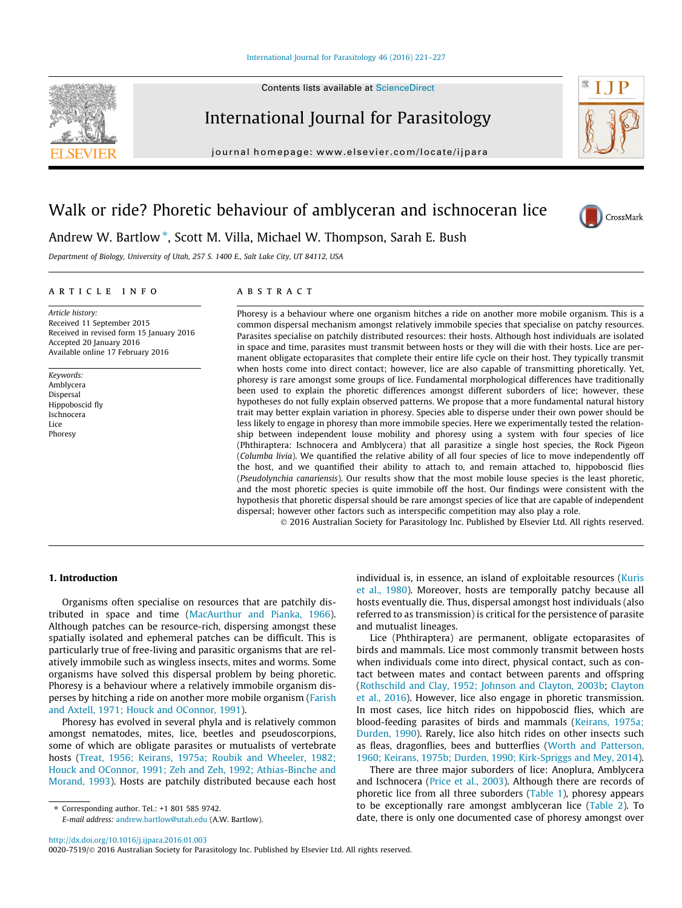## [International Journal for Parasitology 46 \(2016\) 221–227](http://dx.doi.org/10.1016/j.ijpara.2016.01.003)





# International Journal for Parasitology

journal homepage: [www.elsevier.com/locate/ijpara](http://www.elsevier.com/locate/ijpara)

# Walk or ride? Phoretic behaviour of amblyceran and ischnoceran lice



Andrew W. Bartlow \*, Scott M. Villa, Michael W. Thompson, Sarah E. Bush

Department of Biology, University of Utah, 257 S. 1400 E., Salt Lake City, UT 84112, USA

## article info

Article history: Received 11 September 2015 Received in revised form 15 January 2016 Accepted 20 January 2016 Available online 17 February 2016

Keywords: Amblycera Dispersal Hippoboscid fly Ischnocera Lice Phoresy

# **ABSTRACT**

Phoresy is a behaviour where one organism hitches a ride on another more mobile organism. This is a common dispersal mechanism amongst relatively immobile species that specialise on patchy resources. Parasites specialise on patchily distributed resources: their hosts. Although host individuals are isolated in space and time, parasites must transmit between hosts or they will die with their hosts. Lice are permanent obligate ectoparasites that complete their entire life cycle on their host. They typically transmit when hosts come into direct contact; however, lice are also capable of transmitting phoretically. Yet, phoresy is rare amongst some groups of lice. Fundamental morphological differences have traditionally been used to explain the phoretic differences amongst different suborders of lice; however, these hypotheses do not fully explain observed patterns. We propose that a more fundamental natural history trait may better explain variation in phoresy. Species able to disperse under their own power should be less likely to engage in phoresy than more immobile species. Here we experimentally tested the relationship between independent louse mobility and phoresy using a system with four species of lice (Phthiraptera: Ischnocera and Amblycera) that all parasitize a single host species, the Rock Pigeon (Columba livia). We quantified the relative ability of all four species of lice to move independently off the host, and we quantified their ability to attach to, and remain attached to, hippoboscid flies (Pseudolynchia canariensis). Our results show that the most mobile louse species is the least phoretic, and the most phoretic species is quite immobile off the host. Our findings were consistent with the hypothesis that phoretic dispersal should be rare amongst species of lice that are capable of independent dispersal; however other factors such as interspecific competition may also play a role.

2016 Australian Society for Parasitology Inc. Published by Elsevier Ltd. All rights reserved.

# 1. Introduction

Organisms often specialise on resources that are patchily distributed in space and time [\(MacAurthur and Pianka, 1966\)](#page-6-0). Although patches can be resource-rich, dispersing amongst these spatially isolated and ephemeral patches can be difficult. This is particularly true of free-living and parasitic organisms that are relatively immobile such as wingless insects, mites and worms. Some organisms have solved this dispersal problem by being phoretic. Phoresy is a behaviour where a relatively immobile organism disperses by hitching a ride on another more mobile organism ([Farish](#page-6-0) [and Axtell, 1971; Houck and OConnor, 1991\)](#page-6-0).

Phoresy has evolved in several phyla and is relatively common amongst nematodes, mites, lice, beetles and pseudoscorpions, some of which are obligate parasites or mutualists of vertebrate hosts ([Treat, 1956; Keirans, 1975a; Roubik and Wheeler, 1982;](#page-6-0) [Houck and OConnor, 1991; Zeh and Zeh, 1992; Athias-Binche and](#page-6-0) [Morand, 1993](#page-6-0)). Hosts are patchily distributed because each host

E-mail address: [andrew.bartlow@utah.edu](mailto:andrew.bartlow@utah.edu) (A.W. Bartlow).

individual is, in essence, an island of exploitable resources ([Kuris](#page-6-0) [et al., 1980\)](#page-6-0). Moreover, hosts are temporally patchy because all hosts eventually die. Thus, dispersal amongst host individuals (also referred to as transmission) is critical for the persistence of parasite and mutualist lineages.

Lice (Phthiraptera) are permanent, obligate ectoparasites of birds and mammals. Lice most commonly transmit between hosts when individuals come into direct, physical contact, such as contact between mates and contact between parents and offspring ([Rothschild and Clay, 1952; Johnson and Clayton, 2003b;](#page-6-0) [Clayton](#page-5-0) [et al., 2016\)](#page-5-0). However, lice also engage in phoretic transmission. In most cases, lice hitch rides on hippoboscid flies, which are blood-feeding parasites of birds and mammals [\(Keirans, 1975a;](#page-6-0) [Durden, 1990\)](#page-6-0). Rarely, lice also hitch rides on other insects such as fleas, dragonflies, bees and butterflies ([Worth and Patterson,](#page-6-0) [1960; Keirans, 1975b; Durden, 1990; Kirk-Spriggs and Mey, 2014\)](#page-6-0).

There are three major suborders of lice: Anoplura, Amblycera and Ischnocera [\(Price et al., 2003](#page-6-0)). Although there are records of phoretic lice from all three suborders [\(Table 1\)](#page-1-0), phoresy appears to be exceptionally rare amongst amblyceran lice [\(Table 2](#page-1-0)). To date, there is only one documented case of phoresy amongst over

0020-7519/© 2016 Australian Society for Parasitology Inc. Published by Elsevier Ltd. All rights reserved.

<sup>⇑</sup> Corresponding author. Tel.: +1 801 585 9742.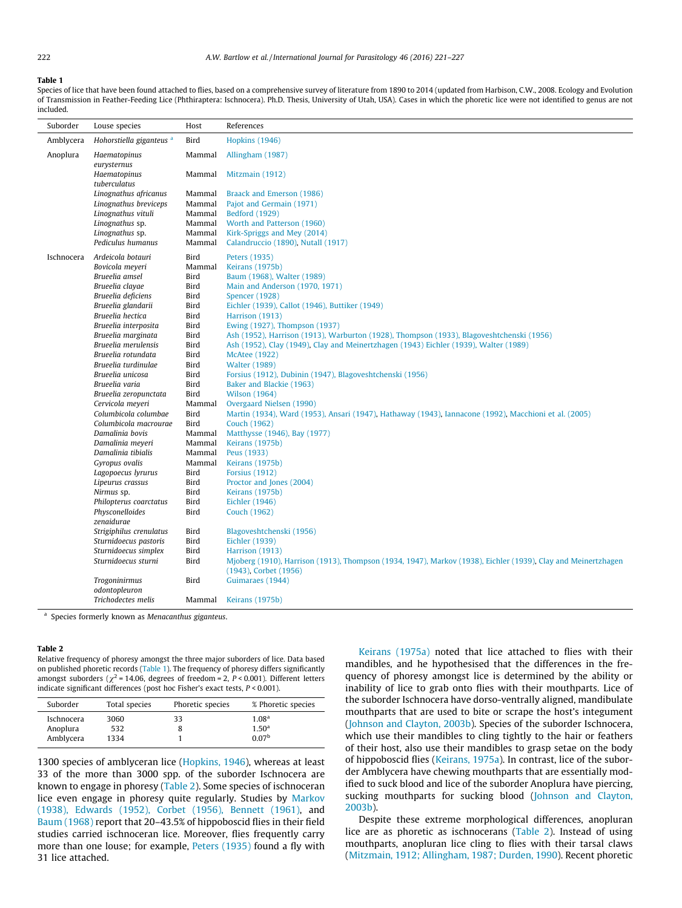#### <span id="page-1-0"></span>Table 1

Species of lice that have been found attached to flies, based on a comprehensive survey of literature from 1890 to 2014 (updated from Harbison, C.W., 2008. Ecology and Evolution of Transmission in Feather-Feeding Lice (Phthiraptera: Ischnocera). Ph.D. Thesis, University of Utah, USA). Cases in which the phoretic lice were not identified to genus are not included.

| Suborder   | Louse species                                                                                                                                                                                                                                                                                                                                                                                                                                                                                                                                                                                                                                         | Host                                                                                                                                                                                                                                                                                              | References                                                                                                                                                                                                                                                                                                                                                                                                                                                                                                                                                                                                                                                                                                                                                                                                                                                                                                                                                                                          |
|------------|-------------------------------------------------------------------------------------------------------------------------------------------------------------------------------------------------------------------------------------------------------------------------------------------------------------------------------------------------------------------------------------------------------------------------------------------------------------------------------------------------------------------------------------------------------------------------------------------------------------------------------------------------------|---------------------------------------------------------------------------------------------------------------------------------------------------------------------------------------------------------------------------------------------------------------------------------------------------|-----------------------------------------------------------------------------------------------------------------------------------------------------------------------------------------------------------------------------------------------------------------------------------------------------------------------------------------------------------------------------------------------------------------------------------------------------------------------------------------------------------------------------------------------------------------------------------------------------------------------------------------------------------------------------------------------------------------------------------------------------------------------------------------------------------------------------------------------------------------------------------------------------------------------------------------------------------------------------------------------------|
| Amblycera  | Hohorstiella giganteus <sup>a</sup>                                                                                                                                                                                                                                                                                                                                                                                                                                                                                                                                                                                                                   | Bird                                                                                                                                                                                                                                                                                              | <b>Hopkins</b> (1946)                                                                                                                                                                                                                                                                                                                                                                                                                                                                                                                                                                                                                                                                                                                                                                                                                                                                                                                                                                               |
| Anoplura   | Haematopinus                                                                                                                                                                                                                                                                                                                                                                                                                                                                                                                                                                                                                                          | Mammal                                                                                                                                                                                                                                                                                            | Allingham (1987)                                                                                                                                                                                                                                                                                                                                                                                                                                                                                                                                                                                                                                                                                                                                                                                                                                                                                                                                                                                    |
|            | eurysternus<br>Haematopinus<br>tuberculatus                                                                                                                                                                                                                                                                                                                                                                                                                                                                                                                                                                                                           | Mammal                                                                                                                                                                                                                                                                                            | Mitzmain (1912)                                                                                                                                                                                                                                                                                                                                                                                                                                                                                                                                                                                                                                                                                                                                                                                                                                                                                                                                                                                     |
|            | Linognathus africanus                                                                                                                                                                                                                                                                                                                                                                                                                                                                                                                                                                                                                                 | Mammal                                                                                                                                                                                                                                                                                            | Braack and Emerson (1986)                                                                                                                                                                                                                                                                                                                                                                                                                                                                                                                                                                                                                                                                                                                                                                                                                                                                                                                                                                           |
|            | Linognathus breviceps                                                                                                                                                                                                                                                                                                                                                                                                                                                                                                                                                                                                                                 | Mammal                                                                                                                                                                                                                                                                                            | Pajot and Germain (1971)                                                                                                                                                                                                                                                                                                                                                                                                                                                                                                                                                                                                                                                                                                                                                                                                                                                                                                                                                                            |
|            | Linognathus vituli<br>Linognathus sp.                                                                                                                                                                                                                                                                                                                                                                                                                                                                                                                                                                                                                 | Mammal<br>Mammal                                                                                                                                                                                                                                                                                  | <b>Bedford</b> (1929)<br>Worth and Patterson (1960)                                                                                                                                                                                                                                                                                                                                                                                                                                                                                                                                                                                                                                                                                                                                                                                                                                                                                                                                                 |
|            | Linognathus sp.                                                                                                                                                                                                                                                                                                                                                                                                                                                                                                                                                                                                                                       | Mammal                                                                                                                                                                                                                                                                                            | Kirk-Spriggs and Mey (2014)                                                                                                                                                                                                                                                                                                                                                                                                                                                                                                                                                                                                                                                                                                                                                                                                                                                                                                                                                                         |
|            | Pediculus humanus                                                                                                                                                                                                                                                                                                                                                                                                                                                                                                                                                                                                                                     | Mammal                                                                                                                                                                                                                                                                                            | Calandruccio (1890), Nutall (1917)                                                                                                                                                                                                                                                                                                                                                                                                                                                                                                                                                                                                                                                                                                                                                                                                                                                                                                                                                                  |
| Ischnocera | Ardeicola botauri<br>Bovicola meyeri<br>Brueelia amsel<br>Brueelia clayae<br>Brueelia deficiens<br>Brueelia glandarii<br>Brueelia hectica<br>Brueelia interposita<br>Brueelia marginata<br>Brueelia merulensis<br>Brueelia rotundata<br>Brueelia turdinulae<br>Brueelia unicosa<br>Brueelia varia<br>Brueelia zeropunctata<br>Cervicola meyeri<br>Columbicola columbae<br>Columbicola macrourae<br>Damalinia bovis<br>Damalinia meyeri<br>Damalinia tibialis<br>Gyropus ovalis<br>Lagopoecus lyrurus<br>Lipeurus crassus<br>Nirmus sp.<br>Philopterus coarctatus<br>Physconelloides<br>zenaidurae<br>Strigiphilus crenulatus<br>Sturnidoecus pastoris | Bird<br>Mammal<br>Bird<br>Bird<br><b>Bird</b><br>Bird<br>Bird<br>Bird<br><b>Bird</b><br><b>Bird</b><br>Bird<br><b>Bird</b><br><b>Bird</b><br>Bird<br>Bird<br>Mammal<br>Bird<br>Bird<br>Mammal<br>Mammal<br>Mammal<br>Mammal<br>Bird<br>Bird<br><b>Bird</b><br>Bird<br><b>Bird</b><br>Bird<br>Bird | Peters (1935)<br>Keirans (1975b)<br>Baum (1968), Walter (1989)<br>Main and Anderson (1970, 1971)<br><b>Spencer</b> (1928)<br>Eichler (1939), Callot (1946), Buttiker (1949)<br>Harrison (1913)<br>Ewing (1927), Thompson (1937)<br>Ash (1952), Harrison (1913), Warburton (1928), Thompson (1933), Blagoveshtchenski (1956)<br>Ash (1952), Clay (1949), Clay and Meinertzhagen (1943) Eichler (1939), Walter (1989)<br><b>McAtee (1922)</b><br><b>Walter (1989)</b><br>Forsius (1912), Dubinin (1947), Blagoveshtchenski (1956)<br>Baker and Blackie (1963)<br><b>Wilson</b> (1964)<br>Overgaard Nielsen (1990)<br>Martin (1934), Ward (1953), Ansari (1947), Hathaway (1943), Iannacone (1992), Macchioni et al. (2005)<br><b>Couch (1962)</b><br>Matthysse (1946), Bay (1977)<br>Keirans (1975b)<br>Peus (1933)<br>Keirans (1975b)<br><b>Forsius (1912)</b><br>Proctor and Jones (2004)<br>Keirans (1975b)<br>Eichler (1946)<br><b>Couch (1962)</b><br>Blagoveshtchenski (1956)<br>Eichler (1939) |
|            | Sturnidoecus simplex                                                                                                                                                                                                                                                                                                                                                                                                                                                                                                                                                                                                                                  | Bird                                                                                                                                                                                                                                                                                              | Harrison (1913)                                                                                                                                                                                                                                                                                                                                                                                                                                                                                                                                                                                                                                                                                                                                                                                                                                                                                                                                                                                     |
|            | Sturnidoecus sturni                                                                                                                                                                                                                                                                                                                                                                                                                                                                                                                                                                                                                                   | <b>Bird</b>                                                                                                                                                                                                                                                                                       | Mjoberg (1910), Harrison (1913), Thompson (1934, 1947), Markov (1938), Eichler (1939), Clay and Meinertzhager<br>(1943), Corbet (1956)                                                                                                                                                                                                                                                                                                                                                                                                                                                                                                                                                                                                                                                                                                                                                                                                                                                              |
|            | Trogoninirmus                                                                                                                                                                                                                                                                                                                                                                                                                                                                                                                                                                                                                                         | <b>Bird</b>                                                                                                                                                                                                                                                                                       | Guimaraes (1944)                                                                                                                                                                                                                                                                                                                                                                                                                                                                                                                                                                                                                                                                                                                                                                                                                                                                                                                                                                                    |
|            | odontopleuron<br>Trichodectes melis                                                                                                                                                                                                                                                                                                                                                                                                                                                                                                                                                                                                                   | Mammal                                                                                                                                                                                                                                                                                            | Keirans (1975b)                                                                                                                                                                                                                                                                                                                                                                                                                                                                                                                                                                                                                                                                                                                                                                                                                                                                                                                                                                                     |

<sup>a</sup> Species formerly known as Menacanthus giganteus.

#### Table 2

Relative frequency of phoresy amongst the three major suborders of lice. Data based on published phoretic records (Table 1). The frequency of phoresy differs significantly amongst suborders ( $\chi^2$  = 14.06, degrees of freedom = 2, P < 0.001). Different letters indicate significant differences (post hoc Fisher's exact tests, P < 0.001).

| Suborder   | Total species | Phoretic species | % Phoretic species |
|------------|---------------|------------------|--------------------|
| Ischnocera | 3060          | 33               | 1.08 <sup>a</sup>  |
| Anoplura   | 532           |                  | 1.50 <sup>a</sup>  |
| Amblycera  | 1334          |                  | 0.07 <sup>b</sup>  |

1300 species of amblyceran lice ([Hopkins, 1946](#page-6-0)), whereas at least 33 of the more than 3000 spp. of the suborder Ischnocera are known to engage in phoresy (Table 2). Some species of ischnoceran lice even engage in phoresy quite regularly. Studies by [Markov](#page-6-0) [\(1938\), Edwards \(1952\), Corbet \(1956\), Bennett \(1961\),](#page-6-0) and [Baum \(1968\)](#page-5-0) report that 20–43.5% of hippoboscid flies in their field studies carried ischnoceran lice. Moreover, flies frequently carry more than one louse; for example, [Peters \(1935\)](#page-6-0) found a fly with 31 lice attached.

[Keirans \(1975a\)](#page-6-0) noted that lice attached to flies with their mandibles, and he hypothesised that the differences in the frequency of phoresy amongst lice is determined by the ability or inability of lice to grab onto flies with their mouthparts. Lice of the suborder Ischnocera have dorso-ventrally aligned, mandibulate mouthparts that are used to bite or scrape the host's integument ([Johnson and Clayton, 2003b](#page-6-0)). Species of the suborder Ischnocera, which use their mandibles to cling tightly to the hair or feathers of their host, also use their mandibles to grasp setae on the body of hippoboscid flies ([Keirans, 1975a](#page-6-0)). In contrast, lice of the suborder Amblycera have chewing mouthparts that are essentially modified to suck blood and lice of the suborder Anoplura have piercing, sucking mouthparts for sucking blood ([Johnson and Clayton,](#page-6-0) [2003b](#page-6-0)).

Despite these extreme morphological differences, anopluran lice are as phoretic as ischnocerans (Table 2). Instead of using mouthparts, anopluran lice cling to flies with their tarsal claws ([Mitzmain, 1912; Allingham, 1987; Durden, 1990\)](#page-6-0). Recent phoretic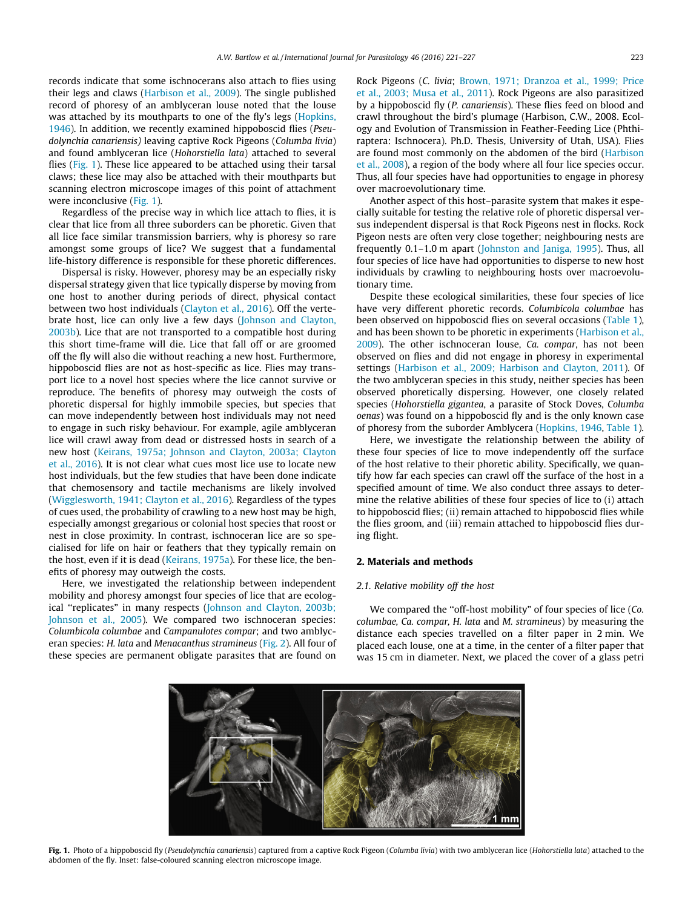records indicate that some ischnocerans also attach to flies using their legs and claws [\(Harbison et al., 2009](#page-6-0)). The single published record of phoresy of an amblyceran louse noted that the louse was attached by its mouthparts to one of the fly's legs ([Hopkins,](#page-6-0) [1946\)](#page-6-0). In addition, we recently examined hippoboscid flies (Pseudolynchia canariensis) leaving captive Rock Pigeons (Columba livia) and found amblyceran lice (Hohorstiella lata) attached to several flies (Fig. 1). These lice appeared to be attached using their tarsal claws; these lice may also be attached with their mouthparts but scanning electron microscope images of this point of attachment were inconclusive (Fig. 1).

Regardless of the precise way in which lice attach to flies, it is clear that lice from all three suborders can be phoretic. Given that all lice face similar transmission barriers, why is phoresy so rare amongst some groups of lice? We suggest that a fundamental life-history difference is responsible for these phoretic differences.

Dispersal is risky. However, phoresy may be an especially risky dispersal strategy given that lice typically disperse by moving from one host to another during periods of direct, physical contact between two host individuals [\(Clayton et al., 2016\)](#page-5-0). Off the vertebrate host, lice can only live a few days ([Johnson and Clayton,](#page-6-0) [2003b](#page-6-0)). Lice that are not transported to a compatible host during this short time-frame will die. Lice that fall off or are groomed off the fly will also die without reaching a new host. Furthermore, hippoboscid flies are not as host-specific as lice. Flies may transport lice to a novel host species where the lice cannot survive or reproduce. The benefits of phoresy may outweigh the costs of phoretic dispersal for highly immobile species, but species that can move independently between host individuals may not need to engage in such risky behaviour. For example, agile amblyceran lice will crawl away from dead or distressed hosts in search of a new host [\(Keirans, 1975a; Johnson and Clayton, 2003a; Clayton](#page-6-0) [et al., 2016\)](#page-6-0). It is not clear what cues most lice use to locate new host individuals, but the few studies that have been done indicate that chemosensory and tactile mechanisms are likely involved ([Wigglesworth, 1941; Clayton et al., 2016\)](#page-6-0). Regardless of the types of cues used, the probability of crawling to a new host may be high, especially amongst gregarious or colonial host species that roost or nest in close proximity. In contrast, ischnoceran lice are so specialised for life on hair or feathers that they typically remain on the host, even if it is dead ([Keirans, 1975a](#page-6-0)). For these lice, the benefits of phoresy may outweigh the costs.

Here, we investigated the relationship between independent mobility and phoresy amongst four species of lice that are ecolog-ical "replicates" in many respects ([Johnson and Clayton, 2003b;](#page-6-0) [Johnson et al., 2005](#page-6-0)). We compared two ischnoceran species: Columbicola columbae and Campanulotes compar; and two amblyceran species: H. lata and Menacanthus stramineus ([Fig. 2\)](#page-3-0). All four of these species are permanent obligate parasites that are found on

Rock Pigeons (C. livia; [Brown, 1971; Dranzoa et al., 1999; Price](#page-5-0) [et al., 2003; Musa et al., 2011\)](#page-5-0). Rock Pigeons are also parasitized by a hippoboscid fly (P. canariensis). These flies feed on blood and crawl throughout the bird's plumage (Harbison, C.W., 2008. Ecology and Evolution of Transmission in Feather-Feeding Lice (Phthiraptera: Ischnocera). Ph.D. Thesis, University of Utah, USA). Flies are found most commonly on the abdomen of the bird [\(Harbison](#page-6-0) [et al., 2008](#page-6-0)), a region of the body where all four lice species occur. Thus, all four species have had opportunities to engage in phoresy over macroevolutionary time.

Another aspect of this host–parasite system that makes it especially suitable for testing the relative role of phoretic dispersal versus independent dispersal is that Rock Pigeons nest in flocks. Rock Pigeon nests are often very close together; neighbouring nests are frequently 0.1–1.0 m apart ([Johnston and Janiga, 1995\)](#page-6-0). Thus, all four species of lice have had opportunities to disperse to new host individuals by crawling to neighbouring hosts over macroevolutionary time.

Despite these ecological similarities, these four species of lice have very different phoretic records. Columbicola columbae has been observed on hippoboscid flies on several occasions [\(Table 1\)](#page-1-0), and has been shown to be phoretic in experiments [\(Harbison et al.,](#page-6-0) [2009](#page-6-0)). The other ischnoceran louse, Ca. compar, has not been observed on flies and did not engage in phoresy in experimental settings ([Harbison et al., 2009; Harbison and Clayton, 2011](#page-6-0)). Of the two amblyceran species in this study, neither species has been observed phoretically dispersing. However, one closely related species (Hohorstiella gigantea, a parasite of Stock Doves, Columba oenas) was found on a hippoboscid fly and is the only known case of phoresy from the suborder Amblycera [\(Hopkins, 1946,](#page-6-0) [Table 1\)](#page-1-0).

Here, we investigate the relationship between the ability of these four species of lice to move independently off the surface of the host relative to their phoretic ability. Specifically, we quantify how far each species can crawl off the surface of the host in a specified amount of time. We also conduct three assays to determine the relative abilities of these four species of lice to (i) attach to hippoboscid flies; (ii) remain attached to hippoboscid flies while the flies groom, and (iii) remain attached to hippoboscid flies during flight.

### 2. Materials and methods

#### 2.1. Relative mobility off the host

We compared the ''off-host mobility" of four species of lice (Co. columbae, Ca. compar, H. lata and M. stramineus) by measuring the distance each species travelled on a filter paper in 2 min. We placed each louse, one at a time, in the center of a filter paper that was 15 cm in diameter. Next, we placed the cover of a glass petri



Fig. 1. Photo of a hippoboscid fly (Pseudolynchia canariensis) captured from a captive Rock Pigeon (Columba livia) with two amblyceran lice (Hohorstiella lata) attached to the abdomen of the fly. Inset: false-coloured scanning electron microscope image.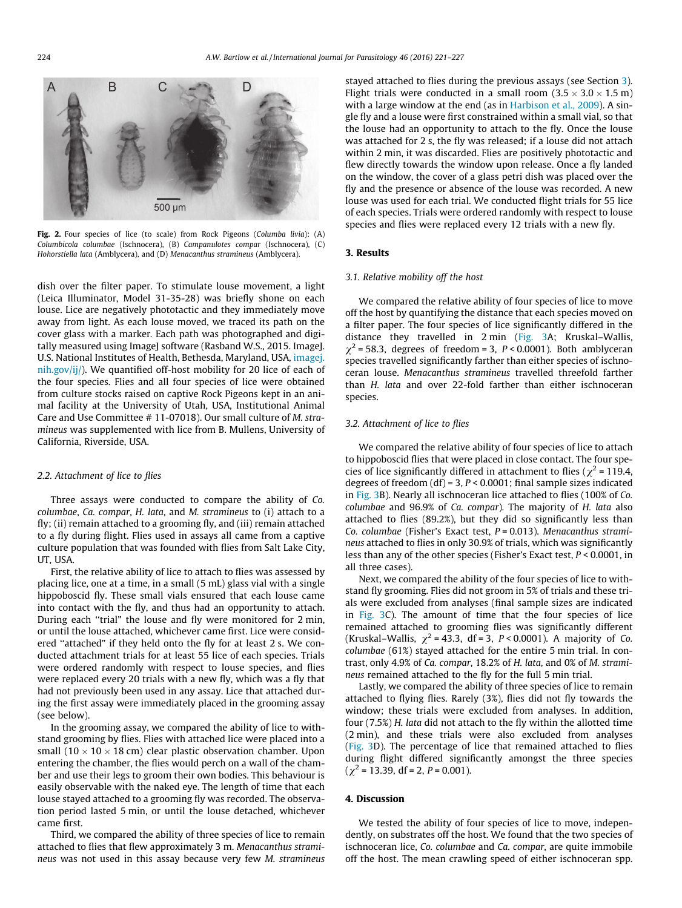<span id="page-3-0"></span>

Fig. 2. Four species of lice (to scale) from Rock Pigeons (Columba livia): (A) Columbicola columbae (Ischnocera), (B) Campanulotes compar (Ischnocera), (C) Hohorstiella lata (Amblycera), and (D) Menacanthus stramineus (Amblycera).

dish over the filter paper. To stimulate louse movement, a light (Leica Illuminator, Model 31-35-28) was briefly shone on each louse. Lice are negatively phototactic and they immediately move away from light. As each louse moved, we traced its path on the cover glass with a marker. Each path was photographed and digitally measured using ImageJ software (Rasband W.S., 2015. ImageJ. U.S. National Institutes of Health, Bethesda, Maryland, USA, [imagej.](http://imagej.nih.gov/ij/) [nih.gov/ij/](http://imagej.nih.gov/ij/)). We quantified off-host mobility for 20 lice of each of the four species. Flies and all four species of lice were obtained from culture stocks raised on captive Rock Pigeons kept in an animal facility at the University of Utah, USA, Institutional Animal Care and Use Committee # 11-07018). Our small culture of M. stramineus was supplemented with lice from B. Mullens, University of California, Riverside, USA.

## 2.2. Attachment of lice to flies

Three assays were conducted to compare the ability of Co. columbae, Ca. compar, H. lata, and M. stramineus to (i) attach to a fly; (ii) remain attached to a grooming fly, and (iii) remain attached to a fly during flight. Flies used in assays all came from a captive culture population that was founded with flies from Salt Lake City, UT, USA.

First, the relative ability of lice to attach to flies was assessed by placing lice, one at a time, in a small (5 mL) glass vial with a single hippoboscid fly. These small vials ensured that each louse came into contact with the fly, and thus had an opportunity to attach. During each "trial" the louse and fly were monitored for 2 min, or until the louse attached, whichever came first. Lice were considered "attached" if they held onto the fly for at least 2 s. We conducted attachment trials for at least 55 lice of each species. Trials were ordered randomly with respect to louse species, and flies were replaced every 20 trials with a new fly, which was a fly that had not previously been used in any assay. Lice that attached during the first assay were immediately placed in the grooming assay (see below).

In the grooming assay, we compared the ability of lice to withstand grooming by flies. Flies with attached lice were placed into a small (10  $\times$  10  $\times$  18 cm) clear plastic observation chamber. Upon entering the chamber, the flies would perch on a wall of the chamber and use their legs to groom their own bodies. This behaviour is easily observable with the naked eye. The length of time that each louse stayed attached to a grooming fly was recorded. The observation period lasted 5 min, or until the louse detached, whichever came first.

Third, we compared the ability of three species of lice to remain attached to flies that flew approximately 3 m. Menacanthus stramineus was not used in this assay because very few M. stramineus stayed attached to flies during the previous assays (see Section 3). Flight trials were conducted in a small room  $(3.5 \times 3.0 \times 1.5 \text{ m})$ with a large window at the end (as in [Harbison et al., 2009](#page-6-0)). A single fly and a louse were first constrained within a small vial, so that the louse had an opportunity to attach to the fly. Once the louse was attached for 2 s, the fly was released; if a louse did not attach within 2 min, it was discarded. Flies are positively phototactic and flew directly towards the window upon release. Once a fly landed on the window, the cover of a glass petri dish was placed over the fly and the presence or absence of the louse was recorded. A new louse was used for each trial. We conducted flight trials for 55 lice of each species. Trials were ordered randomly with respect to louse species and flies were replaced every 12 trials with a new fly.

## 3. Results

#### 3.1. Relative mobility off the host

We compared the relative ability of four species of lice to move off the host by quantifying the distance that each species moved on a filter paper. The four species of lice significantly differed in the distance they travelled in 2 min ([Fig. 3](#page-4-0)A; Kruskal–Wallis,  $\chi^2$  = 58.3, degrees of freedom = 3, P < 0.0001). Both amblyceran species travelled significantly farther than either species of ischnoceran louse. Menacanthus stramineus travelled threefold farther than H. lata and over 22-fold farther than either ischnoceran species.

# 3.2. Attachment of lice to flies

We compared the relative ability of four species of lice to attach to hippoboscid flies that were placed in close contact. The four species of lice significantly differed in attachment to flies ( $\chi^2$  = 119.4, degrees of freedom (df) = 3,  $P < 0.0001$ ; final sample sizes indicated in [Fig. 3](#page-4-0)B). Nearly all ischnoceran lice attached to flies (100% of Co. columbae and 96.9% of Ca. compar). The majority of H. lata also attached to flies (89.2%), but they did so significantly less than Co. columbae (Fisher's Exact test,  $P = 0.013$ ). Menacanthus stramineus attached to flies in only 30.9% of trials, which was significantly less than any of the other species (Fisher's Exact test, P < 0.0001, in all three cases).

Next, we compared the ability of the four species of lice to withstand fly grooming. Flies did not groom in 5% of trials and these trials were excluded from analyses (final sample sizes are indicated in [Fig. 3](#page-4-0)C). The amount of time that the four species of lice remained attached to grooming flies was significantly different (Kruskal–Wallis,  $\chi^2$  = 43.3, df = 3, P < 0.0001). A majority of Co. columbae (61%) stayed attached for the entire 5 min trial. In contrast, only 4.9% of Ca. compar, 18.2% of H. lata, and 0% of M. stramineus remained attached to the fly for the full 5 min trial.

Lastly, we compared the ability of three species of lice to remain attached to flying flies. Rarely (3%), flies did not fly towards the window; these trials were excluded from analyses. In addition, four (7.5%) H. lata did not attach to the fly within the allotted time (2 min), and these trials were also excluded from analyses ([Fig. 3](#page-4-0)D). The percentage of lice that remained attached to flies during flight differed significantly amongst the three species  $(\chi^2 = 13.39, df = 2, P = 0.001).$ 

# 4. Discussion

We tested the ability of four species of lice to move, independently, on substrates off the host. We found that the two species of ischnoceran lice, Co. columbae and Ca. compar, are quite immobile off the host. The mean crawling speed of either ischnoceran spp.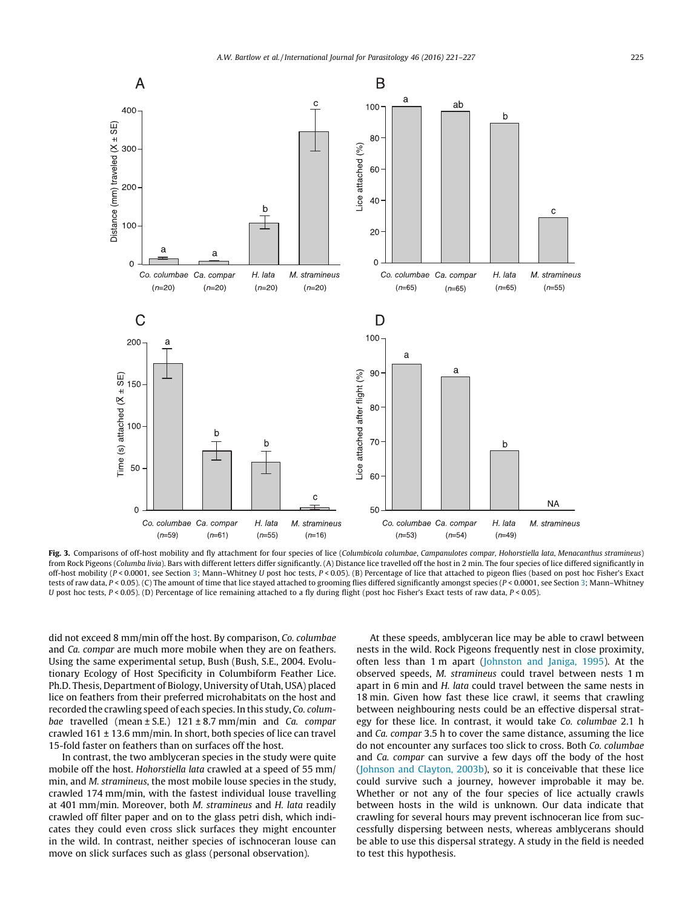<span id="page-4-0"></span>

Fig. 3. Comparisons of off-host mobility and fly attachment for four species of lice (Columbicola columbae, Campanulotes compar, Hohorstiella lata, Menacanthus stramineus) from Rock Pigeons (Columba livia). Bars with different letters differ significantly. (A) Distance lice travelled off the host in 2 min. The four species of lice differed significantly in off-host mobility (P < 0.0001, see Section [3](#page-3-0); Mann–Whitney U post hoc tests, P < 0.05). (B) Percentage of lice that attached to pigeon flies (based on post hoc Fisher's Exact tests of raw data, P < 0.05). (C) The amount of time that lice stayed attached to grooming flies differed significantly amongst species (P < 0.0001, see Section [3](#page-3-0); Mann-Whitney U post hoc tests, P < 0.05). (D) Percentage of lice remaining attached to a fly during flight (post hoc Fisher's Exact tests of raw data, P < 0.05).

did not exceed 8 mm/min off the host. By comparison, Co. columbae and Ca. compar are much more mobile when they are on feathers. Using the same experimental setup, Bush (Bush, S.E., 2004. Evolutionary Ecology of Host Specificity in Columbiform Feather Lice. Ph.D. Thesis, Department of Biology, University of Utah, USA) placed lice on feathers from their preferred microhabitats on the host and recorded the crawling speed of each species. In this study, Co. columbae travelled (mean ± S.E.) 121 ± 8.7 mm/min and Ca. compar crawled 161 ± 13.6 mm/min. In short, both species of lice can travel 15-fold faster on feathers than on surfaces off the host.

In contrast, the two amblyceran species in the study were quite mobile off the host. Hohorstiella lata crawled at a speed of 55 mm/ min, and M. stramineus, the most mobile louse species in the study, crawled 174 mm/min, with the fastest individual louse travelling at 401 mm/min. Moreover, both M. stramineus and H. lata readily crawled off filter paper and on to the glass petri dish, which indicates they could even cross slick surfaces they might encounter in the wild. In contrast, neither species of ischnoceran louse can move on slick surfaces such as glass (personal observation).

At these speeds, amblyceran lice may be able to crawl between nests in the wild. Rock Pigeons frequently nest in close proximity, often less than 1 m apart ([Johnston and Janiga, 1995\)](#page-6-0). At the observed speeds, M. stramineus could travel between nests 1 m apart in 6 min and H. lata could travel between the same nests in 18 min. Given how fast these lice crawl, it seems that crawling between neighbouring nests could be an effective dispersal strategy for these lice. In contrast, it would take Co. columbae 2.1 h and Ca. compar 3.5 h to cover the same distance, assuming the lice do not encounter any surfaces too slick to cross. Both Co. columbae and Ca. compar can survive a few days off the body of the host ([Johnson and Clayton, 2003b\)](#page-6-0), so it is conceivable that these lice could survive such a journey, however improbable it may be. Whether or not any of the four species of lice actually crawls between hosts in the wild is unknown. Our data indicate that crawling for several hours may prevent ischnoceran lice from successfully dispersing between nests, whereas amblycerans should be able to use this dispersal strategy. A study in the field is needed to test this hypothesis.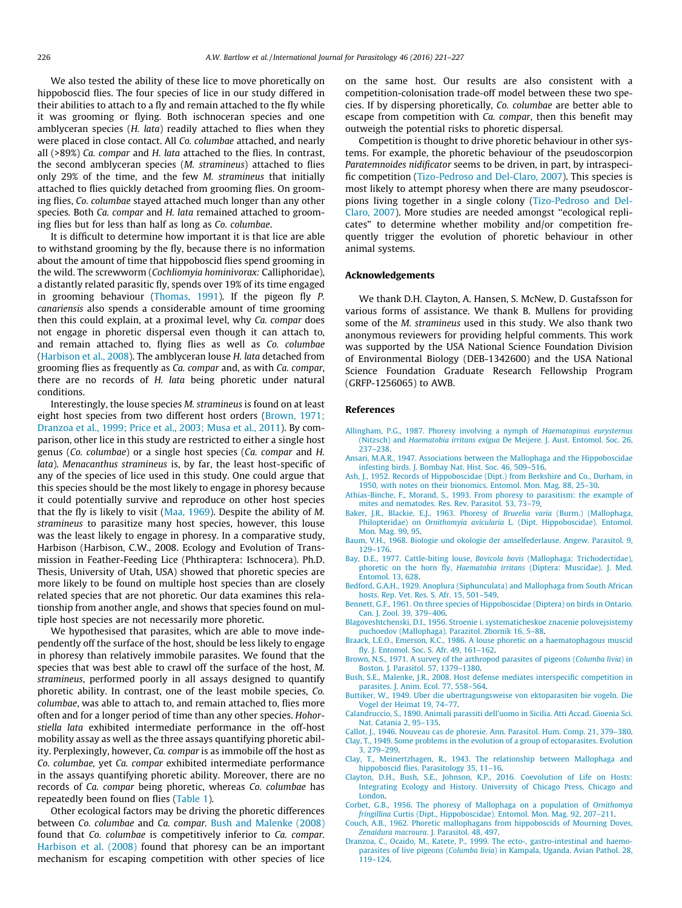<span id="page-5-0"></span>We also tested the ability of these lice to move phoretically on hippoboscid flies. The four species of lice in our study differed in their abilities to attach to a fly and remain attached to the fly while it was grooming or flying. Both ischnoceran species and one amblyceran species (H. lata) readily attached to flies when they were placed in close contact. All Co. columbae attached, and nearly all (>89%) Ca. compar and H. lata attached to the flies. In contrast, the second amblyceran species (M. stramineus) attached to flies only 29% of the time, and the few M. stramineus that initially attached to flies quickly detached from grooming flies. On grooming flies, Co. columbae stayed attached much longer than any other species. Both Ca. compar and H. lata remained attached to grooming flies but for less than half as long as Co. columbae.

It is difficult to determine how important it is that lice are able to withstand grooming by the fly, because there is no information about the amount of time that hippoboscid flies spend grooming in the wild. The screwworm (Cochliomyia hominivorax: Calliphoridae), a distantly related parasitic fly, spends over 19% of its time engaged in grooming behaviour ([Thomas, 1991](#page-6-0)). If the pigeon fly P. canariensis also spends a considerable amount of time grooming then this could explain, at a proximal level, why Ca. compar does not engage in phoretic dispersal even though it can attach to, and remain attached to, flying flies as well as Co. columbae ([Harbison et al., 2008\)](#page-6-0). The amblyceran louse H. lata detached from grooming flies as frequently as Ca. compar and, as with Ca. compar, there are no records of H. lata being phoretic under natural conditions.

Interestingly, the louse species M. stramineus is found on at least eight host species from two different host orders (Brown, 1971; Dranzoa et al., 1999; Price et al., 2003; Musa et al., 2011). By comparison, other lice in this study are restricted to either a single host genus (Co. columbae) or a single host species (Ca. compar and H. lata). Menacanthus stramineus is, by far, the least host-specific of any of the species of lice used in this study. One could argue that this species should be the most likely to engage in phoresy because it could potentially survive and reproduce on other host species that the fly is likely to visit [\(Maa, 1969](#page-6-0)). Despite the ability of M. stramineus to parasitize many host species, however, this louse was the least likely to engage in phoresy. In a comparative study, Harbison (Harbison, C.W., 2008. Ecology and Evolution of Transmission in Feather-Feeding Lice (Phthiraptera: Ischnocera). Ph.D. Thesis, University of Utah, USA) showed that phoretic species are more likely to be found on multiple host species than are closely related species that are not phoretic. Our data examines this relationship from another angle, and shows that species found on multiple host species are not necessarily more phoretic.

We hypothesised that parasites, which are able to move independently off the surface of the host, should be less likely to engage in phoresy than relatively immobile parasites. We found that the species that was best able to crawl off the surface of the host, M. stramineus, performed poorly in all assays designed to quantify phoretic ability. In contrast, one of the least mobile species, Co. columbae, was able to attach to, and remain attached to, flies more often and for a longer period of time than any other species. Hohorstiella lata exhibited intermediate performance in the off-host mobility assay as well as the three assays quantifying phoretic ability. Perplexingly, however, Ca. compar is as immobile off the host as Co. columbae, yet Ca. compar exhibited intermediate performance in the assays quantifying phoretic ability. Moreover, there are no records of Ca. compar being phoretic, whereas Co. columbae has repeatedly been found on flies [\(Table 1](#page-1-0)).

Other ecological factors may be driving the phoretic differences between Co. columbae and Ca. compar. Bush and Malenke (2008) found that Co. columbae is competitively inferior to Ca. compar. [Harbison et al. \(2008\)](#page-6-0) found that phoresy can be an important mechanism for escaping competition with other species of lice

on the same host. Our results are also consistent with a competition-colonisation trade-off model between these two species. If by dispersing phoretically, Co. columbae are better able to escape from competition with *Ca. compar*, then this benefit may outweigh the potential risks to phoretic dispersal.

Competition is thought to drive phoretic behaviour in other systems. For example, the phoretic behaviour of the pseudoscorpion Paratemnoides nidificator seems to be driven, in part, by intraspecific competition ([Tizo-Pedroso and Del-Claro, 2007](#page-6-0)). This species is most likely to attempt phoresy when there are many pseudoscorpions living together in a single colony ([Tizo-Pedroso and Del-](#page-6-0)[Claro, 2007](#page-6-0)). More studies are needed amongst ''ecological replicates" to determine whether mobility and/or competition frequently trigger the evolution of phoretic behaviour in other animal systems.

### Acknowledgements

We thank D.H. Clayton, A. Hansen, S. McNew, D. Gustafsson for various forms of assistance. We thank B. Mullens for providing some of the M. stramineus used in this study. We also thank two anonymous reviewers for providing helpful comments. This work was supported by the USA National Science Foundation Division of Environmental Biology (DEB-1342600) and the USA National Science Foundation Graduate Research Fellowship Program (GRFP-1256065) to AWB.

#### References

- [Allingham, P.G., 1987. Phoresy involving a nymph of](http://refhub.elsevier.com/S0020-7519(16)00036-9/h0005) Haematopinus eurysternus (Nitzsch) and Haematobia irritans exigua [De Meijere. J. Aust. Entomol. Soc. 26,](http://refhub.elsevier.com/S0020-7519(16)00036-9/h0005) [237–238](http://refhub.elsevier.com/S0020-7519(16)00036-9/h0005).
- [Ansari, M.A.R., 1947. Associations between the Mallophaga and the Hippoboscidae](http://refhub.elsevier.com/S0020-7519(16)00036-9/h0010) [infesting birds. J. Bombay Nat. Hist. Soc. 46, 509–516.](http://refhub.elsevier.com/S0020-7519(16)00036-9/h0010)
- [Ash, J., 1952. Records of Hippoboscidae \(Dipt.\) from Berkshire and Co., Durham, in](http://refhub.elsevier.com/S0020-7519(16)00036-9/h0015) [1950, with notes on their bionomics. Entomol. Mon. Mag. 88, 25–30](http://refhub.elsevier.com/S0020-7519(16)00036-9/h0015).
- [Athias-Binche, F., Morand, S., 1993. From phoresy to parasitism: the example of](http://refhub.elsevier.com/S0020-7519(16)00036-9/h0020) [mites and nematodes. Res. Rev. Parasitol. 53, 73–79.](http://refhub.elsevier.com/S0020-7519(16)00036-9/h0020)
- [Baker, J.R., Blackie, E.J., 1963. Phoresy of](http://refhub.elsevier.com/S0020-7519(16)00036-9/h0025) Brueelia varia (Burm.) (Mallophaga, Philopteridae) on Ornithomyia avicularia [L. \(Dipt. Hippoboscidae\). Entomol.](http://refhub.elsevier.com/S0020-7519(16)00036-9/h0025) [Mon. Mag. 99, 95.](http://refhub.elsevier.com/S0020-7519(16)00036-9/h0025)
- [Baum, V.H., 1968. Biologie und okologie der amselfederlause. Angew. Parasitol. 9,](http://refhub.elsevier.com/S0020-7519(16)00036-9/h0030) [129–176](http://refhub.elsevier.com/S0020-7519(16)00036-9/h0030).
- [Bay, D.E., 1977. Cattle-biting louse,](http://refhub.elsevier.com/S0020-7519(16)00036-9/h0035) Bovicola bovis (Mallophaga: Trichodectidae), phoretic on the horn fly, Haematobia irritans [\(Diptera: Muscidae\). J. Med.](http://refhub.elsevier.com/S0020-7519(16)00036-9/h0035) [Entomol. 13, 628.](http://refhub.elsevier.com/S0020-7519(16)00036-9/h0035)
- [Bedford, G.A.H., 1929. Anoplura \(Siphunculata\) and Mallophaga from South African](http://refhub.elsevier.com/S0020-7519(16)00036-9/h0040) [hosts. Rep. Vet. Res. S. Afr. 15, 501–549](http://refhub.elsevier.com/S0020-7519(16)00036-9/h0040).
- [Bennett, G.F., 1961. On three species of Hippoboscidae \(Diptera\) on birds in Ontario.](http://refhub.elsevier.com/S0020-7519(16)00036-9/h0045) [Can. J. Zool. 39, 379–406](http://refhub.elsevier.com/S0020-7519(16)00036-9/h0045).
- [Blagoveshtchenski, D.I., 1956. Stroenie i. systematicheskoe znacenie polovejsistemy](http://refhub.elsevier.com/S0020-7519(16)00036-9/h0050) [puchoedov \(Mallophaga\). Parazitol. Zbornik 16, 5–88](http://refhub.elsevier.com/S0020-7519(16)00036-9/h0050).
- [Braack, L.E.O., Emerson, K.C., 1986. A louse phoretic on a haematophagous muscid](http://refhub.elsevier.com/S0020-7519(16)00036-9/h0055) [fly. J. Entomol. Soc. S. Afr. 49, 161–162.](http://refhub.elsevier.com/S0020-7519(16)00036-9/h0055)
- [Brown, N.S., 1971. A survey of the arthropod parasites of pigeons \(](http://refhub.elsevier.com/S0020-7519(16)00036-9/h0060)Columba livia) in [Boston. J. Parasitol. 57, 1379–1380](http://refhub.elsevier.com/S0020-7519(16)00036-9/h0060).
- [Bush, S.E., Malenke, J.R., 2008. Host defense mediates interspecific competition in](http://refhub.elsevier.com/S0020-7519(16)00036-9/h0065) [parasites. J. Anim. Ecol. 77, 558–564](http://refhub.elsevier.com/S0020-7519(16)00036-9/h0065).
- [Buttiker, W., 1949. Uber die ubertragungsweise von ektoparasiten bie vogeln. Die](http://refhub.elsevier.com/S0020-7519(16)00036-9/h0070) [Vogel der Heimat 19, 74–77.](http://refhub.elsevier.com/S0020-7519(16)00036-9/h0070)
- [Calandruccio, S., 1890. Animali parassiti dell'uomo in Sicilia. Atti Accad. Gioenia Sci.](http://refhub.elsevier.com/S0020-7519(16)00036-9/h0075) [Nat. Catania 2, 95–135](http://refhub.elsevier.com/S0020-7519(16)00036-9/h0075).

[Callot, J., 1946. Nouveau cas de phoresie. Ann. Parasitol. Hum. Comp. 21, 379–380](http://refhub.elsevier.com/S0020-7519(16)00036-9/h0080). [Clay, T., 1949. Some problems in the evolution of a group of ectoparasites. Evolution](http://refhub.elsevier.com/S0020-7519(16)00036-9/h0085) [3, 279–299.](http://refhub.elsevier.com/S0020-7519(16)00036-9/h0085)

- [Clay, T., Meinertzhagen, R., 1943. The relationship between Mallophaga and](http://refhub.elsevier.com/S0020-7519(16)00036-9/h0090) hippoboscid flies. Parasitology 35, 11-16.
- [Clayton, D.H., Bush, S.E., Johnson, K.P., 2016. Coevolution of Life on Hosts:](http://refhub.elsevier.com/S0020-7519(16)00036-9/h0095) [Integrating Ecology and History. University of Chicago Press, Chicago and](http://refhub.elsevier.com/S0020-7519(16)00036-9/h0095) [London](http://refhub.elsevier.com/S0020-7519(16)00036-9/h0095).
- [Corbet, G.B., 1956. The phoresy of Mallophaga on a population of](http://refhub.elsevier.com/S0020-7519(16)00036-9/h0100) Ornithomya fringillina [Curtis \(Dipt., Hippoboscidae\). Entomol. Mon. Mag. 92, 207–211](http://refhub.elsevier.com/S0020-7519(16)00036-9/h0100).
- [Couch, A.B., 1962. Phoretic mallophagans from hippoboscids of Mourning Doves,](http://refhub.elsevier.com/S0020-7519(16)00036-9/h0105) Zenaidura macroura[. J. Parasitol. 48, 497.](http://refhub.elsevier.com/S0020-7519(16)00036-9/h0105)
- [Dranzoa, C., Ocaido, M., Katete, P., 1999. The ecto-, gastro-intestinal and haemo](http://refhub.elsevier.com/S0020-7519(16)00036-9/h0110)parasites of live pigeons (Columba livia[\) in Kampala, Uganda. Avian Pathol. 28,](http://refhub.elsevier.com/S0020-7519(16)00036-9/h0110) [119–124](http://refhub.elsevier.com/S0020-7519(16)00036-9/h0110).